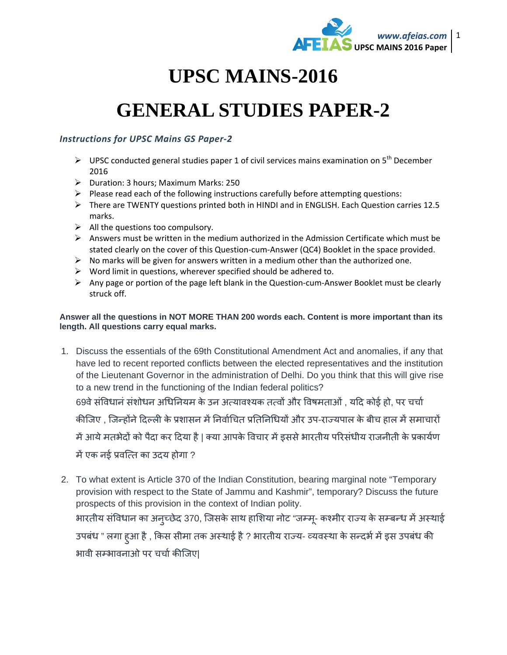

## **UPSC MAINS-2016**

## **GENERAL STUDIES PAPER-2**

## *Instructions for UPSC Mains GS Paper-2*

- $\triangleright$  UPSC conducted general studies paper 1 of civil services mains examination on 5<sup>th</sup> December 2016
- $\triangleright$  Duration: 3 hours; Maximum Marks: 250
- $\triangleright$  Please read each of the following instructions carefully before attempting questions:
- There are TWENTY questions printed both in HINDI and in ENGLISH. Each Question carries 12.5 marks.
- $\triangleright$  All the questions too compulsory.
- $\triangleright$  Answers must be written in the medium authorized in the Admission Certificate which must be stated clearly on the cover of this Question-cum-Answer (QC4) Booklet in the space provided.
- $\triangleright$  No marks will be given for answers written in a medium other than the authorized one.
- $\triangleright$  Word limit in questions, wherever specified should be adhered to.
- $\triangleright$  Any page or portion of the page left blank in the Question-cum-Answer Booklet must be clearly struck off.

## **Answer all the questions in NOT MORE THAN 200 words each. Content is more important than its length. All questions carry equal marks.**

1. Discuss the essentials of the 69th Constitutional Amendment Act and anomalies, if any that have led to recent reported conflicts between the elected representatives and the institution of the Lieutenant Governor in the administration of Delhi. Do you think that this will give rise to a new trend in the functioning of the Indian federal politics?

69वे संविधानं संशोधन अधिनियम के उन अत्यावश्यक तत्वों और विषमताओं , यदि कोई हो, पर चर्चा

कीजिए , जिन्होंने दिल्ली के प्रशासन में निर्वाचित प्रतिनिधियों और उप-राज्यपाल के बीच हाल में समाचारों

में आये मतभेदों को पैदा कर दिया है | क्या आपके विचार में इससे भारतीय परिसंधीय राजनीती के प्रकार्यण

में एक नई प्रवत्ति का उदय होगा ?

2. To what extent is Article 370 of the Indian Constitution, bearing marginal note "Temporary provision with respect to the State of Jammu and Kashmir", temporary? Discuss the future prospects of this provision in the context of Indian polity.

भारतीय संविधान का अनुच्छेद 370, जिसके साथ हाशिया नोट "जम्मू- कश्मीर राज्य के सम्बन्ध में अस्थाई उपबंध " लगा हुआ है , किस सीमा तक अस्थाई है ? भारतीय राज्य- व्यवस्था के सन्दर्भ में इस उपबंध की भावी सम्भावनाओ पर चर्चा कीजिए|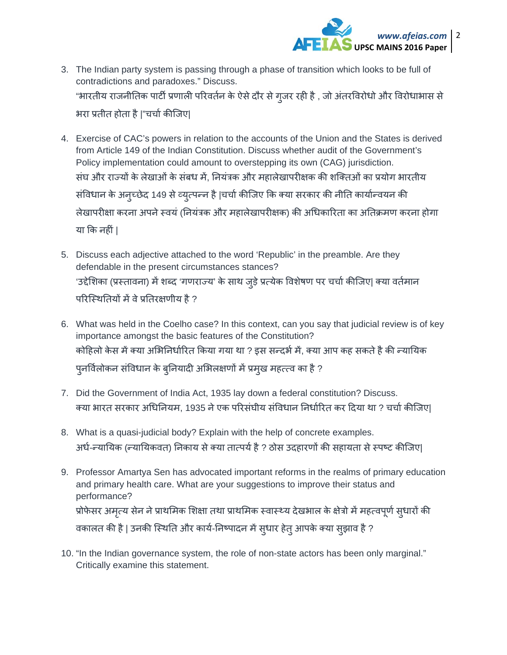

- 3. The Indian party system is passing through a phase of transition which looks to be full of contradictions and paradoxes." Discuss. "भारतीय राजनीतिक पार्टी प्रणाली परिवर्तन के ऐसे दौर से गुजर रही है , जो अंतरविरोधो और विरोधाभास से भरा प्रतीत होता है |"चचार्कीिजए|
- 4. Exercise of CAC's powers in relation to the accounts of the Union and the States is derived from Article 149 of the Indian Constitution. Discuss whether audit of the Government's Policy implementation could amount to overstepping its own (CAG) jurisdiction. संघ और राज्यों के लेखाओं के संबध में, नियंत्रक और महालेखापरीक्षक की शक्तिओं का प्रयोग भारतीय संविधान के अनुच्छेद 149 से व्युत्पन्न है |चचो कीजिए कि क्या सरकार की नीति कार्यान्वयन की लेखापरीक्षा करना अपने स्वयं (नियंत्रक और महालेखापरीक्षक) की अधिकारिता का अतिक्रमण करना होगा या िक नहीं |
- 5. Discuss each adjective attached to the word 'Republic' in the preamble. Are they defendable in the present circumstances stances? 'उद्देशिका (प्रस्तावना) में शब्द 'गणराज्य' के साथ जुड़े प्रत्येक विशेषण पर चर्चा कीजिए| क्या वर्तमान परिस्थितियों में वे प्रतिरक्षणीय है ?
- 6. What was held in the Coelho case? In this context, can you say that judicial review is of key importance amongst the basic features of the Constitution? कोहिलो केस में क्या अभिनिर्धारित किया गया था ? इस सन्दर्भ में, क्या आप कह सकते है की न्यायिक पुनविलोकन संविधान के बुनियादी अभिलक्षणों में प्रमुख महत्त्व का है ?
- 7. Did the Government of India Act, 1935 lay down a federal constitution? Discuss. क्या भारत सरकार अधिनियम, 1935 ने एक परिसंघीय संविधान निर्धारित कर दिया था ? चर्चा कीजिए|
- 8. What is a quasi-judicial body? Explain with the help of concrete examples. अर्ध-न्यायिक (न्यायिकवत) निकाय से क्या तात्पर्य है ? ठोस उदहारणों की सहायता से स्पष्ट कीजिए|
- 9. Professor Amartya Sen has advocated important reforms in the realms of primary education and primary health care. What are your suggestions to improve their status and performance? प्रोफेसर अमृत्य सेन ने प्राथमिक शिक्षा तथा प्राथमिक स्वास्थ्य देखभाल के क्षेत्रो मे महत्वपूर्ण सुधारो की वकालत की है | उनकी स्थिति और कार्य-निष्पादन में सुधार हेतु आपके क्या सुझाव है ?
- 10. "In the Indian governance system, the role of non-state actors has been only marginal." Critically examine this statement.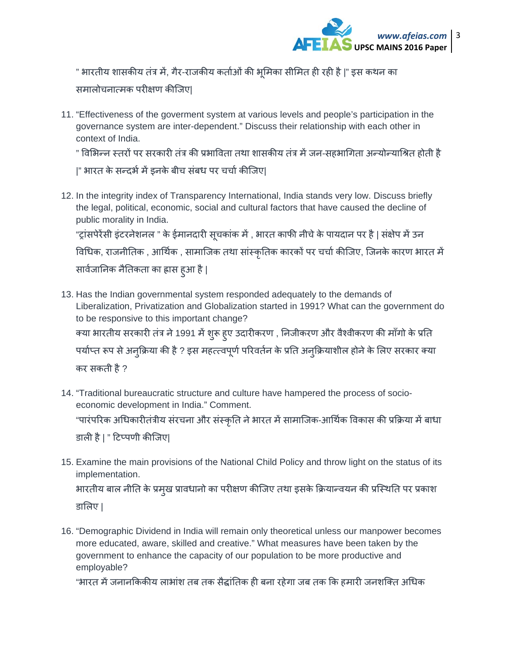

" भारतीय शासकीय तंत्र में, गैर-राजकीय कर्ताओं की भूमिका सीमित ही रही है |" इस कथन का

समालोचना×मक परीक्षण कीिजए|

11. "Effectiveness of the goverment system at various levels and people's participation in the governance system are inter-dependent." Discuss their relationship with each other in context of India.

" विभिन्न स्तरों पर सरकारी तंत्र की प्रभाविता तथा शासकीय तंत्र में जन-सहभागिता अन्योन्याश्रित होती है

|" भारत के सन्दर्भ में इनके बीच संबध पर चर्चा कीजिए|

12. In the integrity index of Transparency International, India stands very low. Discuss briefly the legal, political, economic, social and cultural factors that have caused the decline of public morality in India.

"ट्रांसपेरेंसी इंटरनेशनल " के ईमानदारी सूचकांक में , भारत काफी नीचे के पायदान पर है | संक्षेप में उन

विधिक, राजनीतिक , आर्थिक , सामाजिक तथा सांस्कृतिक कारकों पर चर्चा कीजिए, जिनके कारण भारत में सावेजानिक नैतिकता का ह्रास हुआ है |

- 13. Has the Indian governmental system responded adequately to the demands of Liberalization, Privatization and Globalization started in 1991? What can the government do to be responsive to this important change? क्या भारतीय सरकारी तंत्र ने 1991 में शुरू हुए उदारीकरण , निजीकरण और वैश्वीकरण की माँगो के प्रति पर्याप्त रूप से अनुक्रिया की है ? इस महत्त्वपूर्ण परिवर्तन के प्रति अनुक्रियाशील होने के लिए सरकार क्या कर सकती है ?
- 14. "Traditional bureaucratic structure and culture have hampered the process of socioeconomic development in India." Comment. "पारंपरिक अधिकारीतंत्रीय संरचना और संस्कृति ने भारत में सामाजिक-आर्थिक विकास की प्रक्रिया में बाधा डाली है | " टिप्पणी कीजिए|
- 15. Examine the main provisions of the National Child Policy and throw light on the status of its implementation. भारतीय बाल नीति के प्रमुख प्रावधानों का परीक्षण कीजिए तथा इसके क्रियान्वयन की प्रस्थिति पर प्रकाश

डािलए |

16. "Demographic Dividend in India will remain only theoretical unless our manpower becomes more educated, aware, skilled and creative." What measures have been taken by the government to enhance the capacity of our population to be more productive and employable?

"भारत में जनानकिकीय लाभांश तब तक सैद्धांतिक ही बना रहेगा जब तक कि हमारी जनशक्ति अधिक